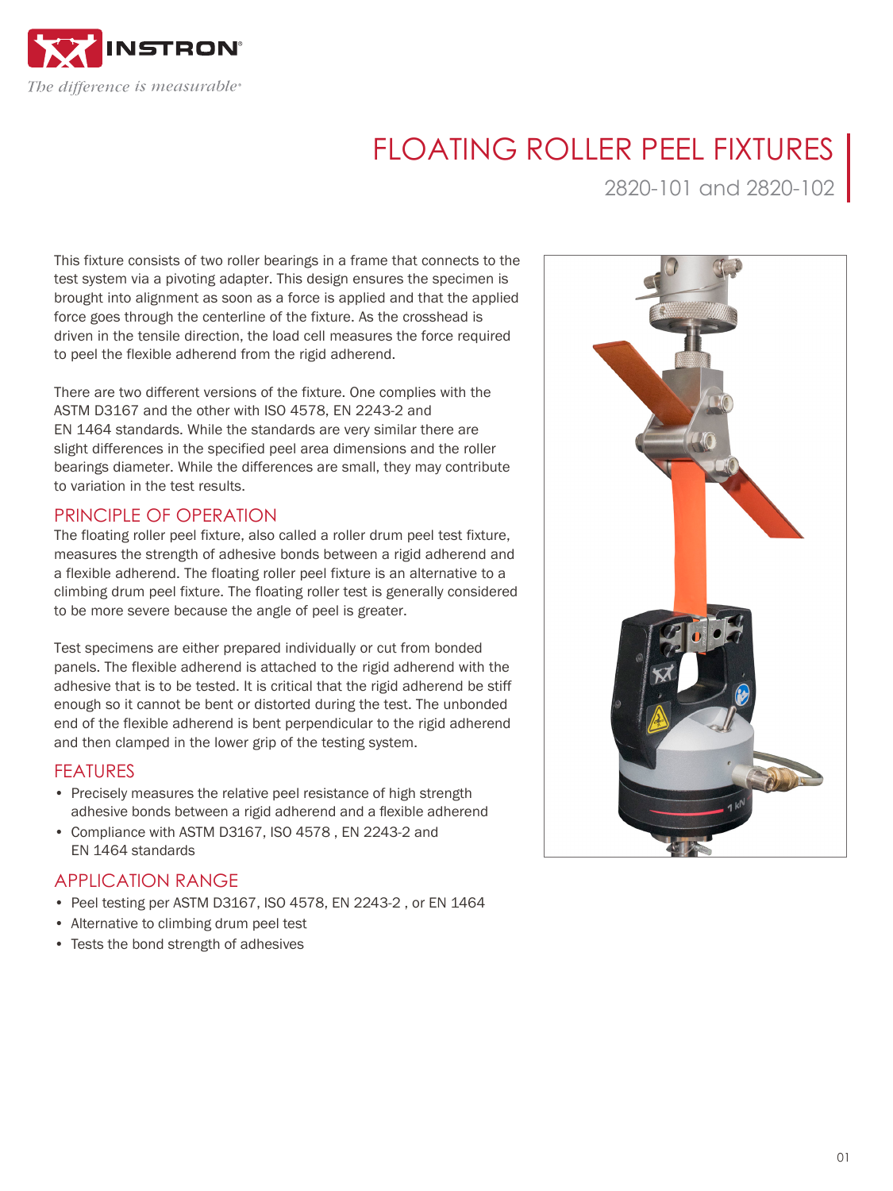

# FLOATING ROLLER PEEL FIXTURES

2820-101 and 2820-102

This fixture consists of two roller bearings in a frame that connects to the test system via a pivoting adapter. This design ensures the specimen is brought into alignment as soon as a force is applied and that the applied force goes through the centerline of the fixture. As the crosshead is driven in the tensile direction, the load cell measures the force required to peel the flexible adherend from the rigid adherend.

There are two different versions of the fixture. One complies with the ASTM D3167 and the other with ISO 4578, EN 2243-2 and EN 1464 standards. While the standards are very similar there are slight differences in the specified peel area dimensions and the roller bearings diameter. While the differences are small, they may contribute to variation in the test results.

### PRINCIPLE OF OPERATION

The floating roller peel fixture, also called a roller drum peel test fixture, measures the strength of adhesive bonds between a rigid adherend and a flexible adherend. The floating roller peel fixture is an alternative to a climbing drum peel fixture. The floating roller test is generally considered to be more severe because the angle of peel is greater.

Test specimens are either prepared individually or cut from bonded panels. The flexible adherend is attached to the rigid adherend with the adhesive that is to be tested. It is critical that the rigid adherend be stiff enough so it cannot be bent or distorted during the test. The unbonded end of the flexible adherend is bent perpendicular to the rigid adherend and then clamped in the lower grip of the testing system.

#### FEATURES

- Precisely measures the relative peel resistance of high strength adhesive bonds between a rigid adherend and a flexible adherend
- Compliance with ASTM D3167, ISO 4578 , EN 2243-2 and EN 1464 standards

## APPLICATION RANGE

- Peel testing per ASTM D3167, ISO 4578, EN 2243-2 , or EN 1464
- Alternative to climbing drum peel test
- Tests the bond strength of adhesives